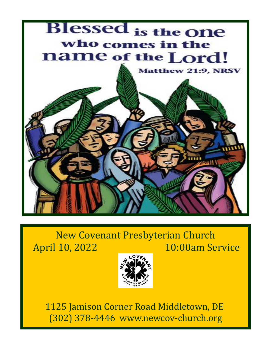

# New Covenant Presbyterian Church April 10, 2022 10:00am Service



 1125 Jamison Corner Road Middletown, DE (302) 378-4446 www.newcov-church.org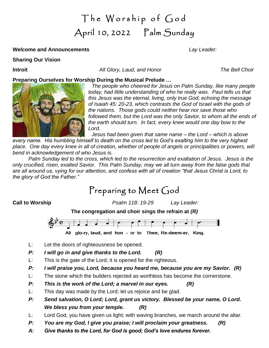# The Worship of God April 10, 2022 Palm Sunday

### **Welcome and Announcements** *Lay Leader:*

**Sharing Our Vision**

**Introit** The Bell Choir **All Glory, Laud, and Honor** *The Bell Choir* 

### **Preparing Ourselves for Worship During the Musical Prelude …**



*The people who cheered for Jesus on Palm Sunday, like many people today, had little understanding of who he really was. Paul tells us that this Jesus was the eternal, living, only true God, echoing the message of Isaiah 45: 20-23, which contrasts the God of Israel with the gods of the nations. Those gods could neither hear nor save those who*  followed them, but the Lord was the only Savior, to whom all the ends of *the earth should turn. In fact, every knee would one day bow to the Lord.*

*Jesus had been given that same name – the Lord – which is above every name. His humbling himself to death on the cross led to God's exalting him to the very highest*  place. One day every knee in all of creation, whether of people of angels or principalities or powers, will *bend in acknowledgement of who Jesus is.*

*Palm Sunday led to the cross, which led to the resurrection and exaltation of Jesus. Jesus is the only crucified, risen, exalted Savior. This Palm Sunday, may we all turn away from the false gods that are all around us, vying for our attention, and confess with all of creation "that Jesus Christ is Lord, to the glory of God the Father."*

## Preparing to Meet God

**Call to Worship** *Psalm 118: 19-29 Lay Leader:* 

**The congregation and choir sings the refrain at** *(R)*



- All glo-ry, laud, and hon or to Thee, Re-deem-er, King.
- L: Let the doors of righteousness be opened.
- *P: I will go in and give thanks to the Lord. (R)*
- L: This is the gate of the Lord; it is opened for the righteous.
- *P: I will praise you, Lord, because you heard me, because you are my Savior. (R)*
- L: The stone which the builders rejected as worthless has become the cornerstone.
- *P: This is the work of the Lord; a marvel in our eyes. (R)*
- L: This day was made by the Lord; let us rejoice and be glad.
- *P: Send salvation, O Lord; Lord, grant us victory. Blessed be your name, O Lord. We bless you from your temple. (R)*
- L: Lord God, you have given us light; with waving branches, we march around the altar.
- *P: You are my God, I give you praise; I will proclaim your greatness. (R)*
- *A: Give thanks to the Lord, for God is good; God's love endures forever.*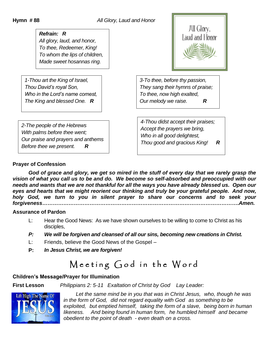### **Hymn # 88** *All Glory, Laud and Honor*

### *Refrain: R*

*All glory, laud, and honor, To thee, Redeemer, King! To whom the lips of children, Made sweet hosannas ring.*

*1-Thou art the King of Israel, Thou David's royal Son, Who in the Lord's name comest, The King and blessed One. R*

*2-The people of the Hebrews With palms before thee went; Our praise and prayers and anthems Before thee we present. R*



*3-To thee, before thy passion, They sang their hymns of praise; To thee, now high exalted, Our melody we raise. R*

*4-Thou didst accept their praises; Accept the prayers we bring, Who in all good delightest, Thou good and gracious King! R*

### **Prayer of Confession**

*God of grace and glory, we get so mired in the stuff of every day that we rarely grasp the vision of what you call us to be and do. We become so self-absorbed and preoccupied with our needs and wants that we are not thankful for all the ways you have already blessed us. Open our eyes and hearts that we might reorient our thinking and truly be your grateful people. And now, holy God, we turn to you in silent prayer to share our concerns and to seek your forgiveness………………………………………………………………………………………………….Amen.*

### **Assurance of Pardon**

- L: Hear the Good News: As we have shown ourselves to be willing to come to Christ as his disciples,
- *P: We will be forgiven and cleansed of all our sins, becoming new creations in Christ.*
- L: Friends, believe the Good News of the Gospel –
- **P:** *In Jesus Christ, we are forgiven!*

## Meeting God in the Word

### **Children's Message/Prayer for Illumination**

**First Lesson** *Philippians 2: 5-11 Exaltation of Christ by God Lay Leader:* 



*Let the same mind be in you that was in Christ Jesus, who, though he was in the form of God, did not regard equality with God as something to be exploited, but emptied himself, taking the form of a slave, being born in human likeness. And being found in human form, he humbled himself and became obedient to the point of death - even death on a cross.*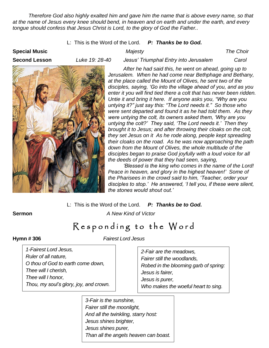*Therefore God also highly exalted him and gave him the name that is above every name, so that at the name of Jesus every knee should bend, in heaven and on earth and under the earth, and every tongue should confess that Jesus Christ is Lord, to the glory of God the Father..*

L: This is the Word of the Lord. *P: Thanks be to God.*

**Special Music** *Majesty**The Choir*

**Second Lesson** *Luke 19: 28-40 Jesus' Triumphal Entry into Jerusalem Carol*



*After he had said this, he went on ahead, going up to Jerusalem. When he had come near Bethphage and Bethany, at the place called the Mount of Olives, he sent two of the disciples, saying, 'Go into the village ahead of you, and as you enter it you will find tied there a colt that has never been ridden. Untie it and bring it here. If anyone asks you, "Why are you untying it?" just say this: "The Lord needs it." So those who were sent departed and found it as he had told them. As they were untying the colt, its owners asked them, 'Why are you untying the colt?' They said, 'The Lord needs it.' Then they brought it to Jesus; and after throwing their cloaks on the colt, they set Jesus on it As he rode along, people kept spreading their cloaks on the road. As he was now approaching the path down from the Mount of Olives, the whole multitude of the disciples began to praise God joyfully with a loud voice for all the deeds of power that they had seen, saying,*

*'Blessed is the king who comes in the name of the Lord! Peace in heaven, and glory in the highest heaven!' Some of the Pharisees in the crowd said to him, 'Teacher, order your disciples to stop.' He answered, 'I tell you, if these were silent, the stones would shout out.'*

L: This is the Word of the Lord. *P: Thanks be to God.*

**Sermon** *A New Kind of Victor*

### Responding to the Word

**Hymn # 306** *Fairest Lord Jesus*

*1-Fairest Lord Jesus, Ruler of all nature, O thou of God to earth come down, Thee will I cherish, Thee will I honor, Thou, my soul's glory, joy, and crown.*

*2-Fair are the meadows, Fairer still the woodlands, Robed in the blooming garb of spring: Jesus is fairer, Jesus is purer, Who makes the woeful heart to sing.*

*3-Fair is the sunshine, Fairer still the moonlight, And all the twinkling, starry host: Jesus shines brighter, Jesus shines purer, Than all the angels heaven can boast.*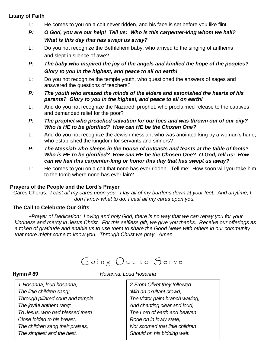### **Litany of Faith**

- L: He comes to you on a colt never ridden, and his face is set before you like flint.
- *P: O God, you are our help! Tell us: Who is this carpenter-king whom we hail? What is this day that has swept us away?*
- L: Do you not recognize the Bethlehem baby, who arrived to the singing of anthems and slept in silence of awe?
- *P: The baby who inspired the joy of the angels and kindled the hope of the peoples? Glory to you in the highest, and peace to all on earth!*
- L: Do you not recognize the temple youth, who questioned the answers of sages and answered the questions of teachers?
- *P: The youth who amazed the minds of the elders and astonished the hearts of his parents? Glory to you in the highest, and peace to all on earth!*
- L: And do you not recognize the Nazareth prophet, who proclaimed release to the captives and demanded relief for the poor?
- *P: The prophet who preached salvation for our foes and was thrown out of our city? Who is HE to be glorified? How can HE be the Chosen One?*
- L: And do you not recognize the Jewish messiah, who was anointed king by a woman's hand, who established the kingdom for servants and sinners?
- *P: The Messiah who sleeps in the house of outcasts and feasts at the table of fools? Who is HE to be glorified? How can HE be the Chosen One? O God, tell us: How can we hail this carpenter-king or honor this day that has swept us away?*
- L: He comes to you on a colt that none has ever ridden. Tell me: How soon will you take him to the tomb where none has ever lain?

### **Prayers of the People and the Lord's Prayer**

Cares Chorus: *I cast all my cares upon you. I lay all of my burdens down at your feet. And anytime, I don't know what to do, I cast all my cares upon you.*

#### **The Call to Celebrate Our Gifts**

*+Prayer of Dedication: Loving and holy God, there is no way that we can repay you for your kindness and mercy in Jesus Christ. For this selfless gift, we give you thanks. Receive our offerings as a token of gratitude and enable us to use them to share the Good News with others in our community that more might come to know you. Through Christ we pray. Amen.*

### Going Out to Serve

### **Hymn # 89** *Hosanna, Loud Hosanna*

*1-Hosanna, loud hosanna, The little children sang; Through pillared court and temple The joyful anthem rang; To Jesus, who had blessed them Close folded to his breast, The children sang their praises, The simplest and the best.*

*2-From Olivet they followed 'Mid an exultant crowd, The victor palm branch waving, And chanting clear and loud, The Lord of earth and heaven Rode on in lowly state, Nor scorned that little children Should on his bidding wait.*